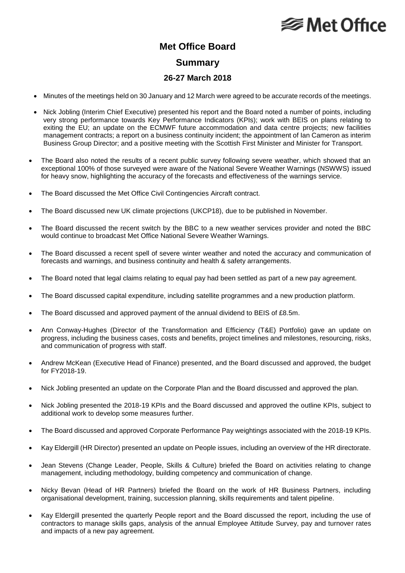## **⊗ Met Office**

## **Met Office Board Summary**

## **26-27 March 2018**

- Minutes of the meetings held on 30 January and 12 March were agreed to be accurate records of the meetings.
- Nick Jobling (Interim Chief Executive) presented his report and the Board noted a number of points, including very strong performance towards Key Performance Indicators (KPIs); work with BEIS on plans relating to exiting the EU; an update on the ECMWF future accommodation and data centre projects; new facilities management contracts; a report on a business continuity incident; the appointment of Ian Cameron as interim Business Group Director; and a positive meeting with the Scottish First Minister and Minister for Transport.
- The Board also noted the results of a recent public survey following severe weather, which showed that an exceptional 100% of those surveyed were aware of the National Severe Weather Warnings (NSWWS) issued for heavy snow, highlighting the accuracy of the forecasts and effectiveness of the warnings service.
- The Board discussed the Met Office Civil Contingencies Aircraft contract.
- The Board discussed new UK climate projections (UKCP18), due to be published in November.
- The Board discussed the recent switch by the BBC to a new weather services provider and noted the BBC would continue to broadcast Met Office National Severe Weather Warnings.
- The Board discussed a recent spell of severe winter weather and noted the accuracy and communication of forecasts and warnings, and business continuity and health & safety arrangements.
- The Board noted that legal claims relating to equal pay had been settled as part of a new pay agreement.
- The Board discussed capital expenditure, including satellite programmes and a new production platform.
- The Board discussed and approved payment of the annual dividend to BEIS of £8.5m.
- Ann Conway-Hughes (Director of the Transformation and Efficiency (T&E) Portfolio) gave an update on progress, including the business cases, costs and benefits, project timelines and milestones, resourcing, risks, and communication of progress with staff.
- Andrew McKean (Executive Head of Finance) presented, and the Board discussed and approved, the budget for FY2018-19.
- Nick Jobling presented an update on the Corporate Plan and the Board discussed and approved the plan.
- Nick Jobling presented the 2018-19 KPIs and the Board discussed and approved the outline KPIs, subject to additional work to develop some measures further.
- The Board discussed and approved Corporate Performance Pay weightings associated with the 2018-19 KPIs.
- Kay Eldergill (HR Director) presented an update on People issues, including an overview of the HR directorate.
- Jean Stevens (Change Leader, People, Skills & Culture) briefed the Board on activities relating to change management, including methodology, building competency and communication of change.
- Nicky Bevan (Head of HR Partners) briefed the Board on the work of HR Business Partners, including organisational development, training, succession planning, skills requirements and talent pipeline.
- Kay Eldergill presented the quarterly People report and the Board discussed the report, including the use of contractors to manage skills gaps, analysis of the annual Employee Attitude Survey, pay and turnover rates and impacts of a new pay agreement.